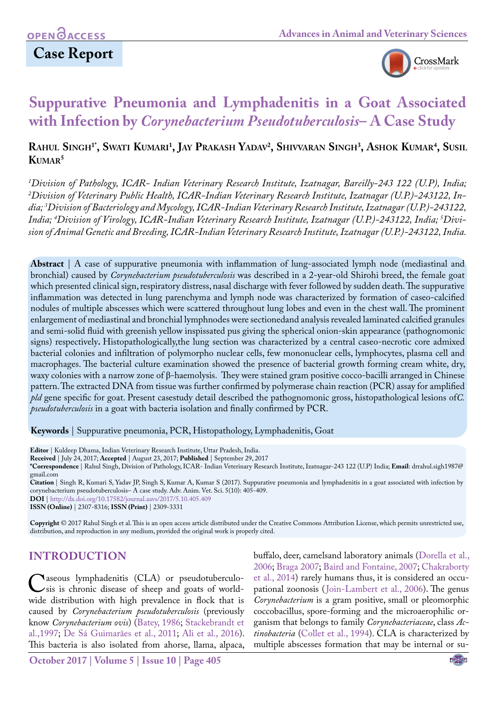# **Case Report**



# **Suppurative Pneumonia and Lymphadenitis in a Goat Associated with Infection by** *Corynebacterium Pseudotuberculosis***– A Case Study**

### **Rahul Singh1\*, Swati Kumari 1 , Jay Prakash Yadav2 , Shivvaran Singh3 , Ashok Kumar4 , Susil Kumar5**

*1 Division of Pathology, ICAR- Indian Veterinary Research Institute, Izatnagar, Bareilly-243 122 (U.P), India; 2 Division of Veterinary Public Health, ICAR-Indian Veterinary Research Institute, Izatnagar (U.P.)-243122, India; 3 Division of Bacteriology and Mycology, ICAR-Indian Veterinary Research Institute, Izatnagar (U.P.)-243122, India; 4 Division of Virology, ICAR-Indian Veterinary Research Institute, Izatnagar (U.P.)-243122, India; 5 Division of Animal Genetic and Breeding, ICAR-Indian Veterinary Research Institute, Izatnagar (U.P.)-243122, India.*

**Abstract** | A case of suppurative pneumonia with inflammation of lung-associated lymph node (mediastinal and bronchial) caused by *Corynebacterium pseudotuberculosis* was described in a 2-year-old Shirohi breed, the female goat which presented clinical sign, respiratory distress, nasal discharge with fever followed by sudden death. The suppurative inflammation was detected in lung parenchyma and lymph node was characterized by formation of caseo-calcified nodules of multiple abscesses which were scattered throughout lung lobes and even in the chest wall. The prominent enlargement of mediastinal and bronchial lymphnodes were sectionedand analysis revealed laminated calcified granules and semi-solid fluid with greenish yellow inspissated pus giving the spherical onion-skin appearance (pathognomonic signs) respectively**.** Histopathologically,the lung section was characterized by a central caseo-necrotic core admixed bacterial colonies and infiltration of polymorpho nuclear cells, few mononuclear cells, lymphocytes, plasma cell and macrophages. The bacterial culture examination showed the presence of bacterial growth forming cream white, dry, waxy colonies with a narrow zone of β-haemolysis. They were stained gram positive cocco-bacilli arranged in Chinese pattern. The extracted DNA from tissue was further confirmed by polymerase chain reaction (PCR) assay for amplified *pld* gene specific for goat. Present casestudy detail described the pathognomonic gross, histopathological lesions of*C. pseudotuberculosis* in a goat with bacteria isolation and finally confirmed by PCR.

#### **Keywords** | Suppurative pneumonia, PCR, Histopathology, Lymphadenitis, Goat

**Citation** | Singh R, Kumari S, Yadav JP, Singh S, Kumar A, Kumar S (2017). Suppurative pneumonia and lymphadenitis in a goat associated with infection by corynebacterium pseudotuberculosis– A case study. Adv. Anim. Vet. Sci. 5(10): 405-409.

**DOI** | <http://dx.doi.org/10.17582/journal.aavs/2017/5.10.405.409>

**ISSN (Online)** | 2307-8316; **ISSN (Print)** | 2309-3331

**Copyright** © 2017 Rahul Singh et al. This is an open access article distributed under the Creative Commons Attribution License, which permits unrestricted use, distribution, and reproduction in any medium, provided the original work is properly cited.

### **Introduction**

Caseous lymphadenitis (CLA) or pseudotuberculo-<br>sis is chronic disease of sheep and goats of world-<br>wide distribution with high prevalence in flock that is wide distribution with high prevalence in flock that is caused by *Corynebacterium pseudotuberculosis* (previously know *Corynebacterium ovis*) ([Batey, 1986](#page-3-0); [Stackebrandt et](#page-4-0)  [al.,1997](#page-4-0); De Sá Guimarães et al., 2011; [Ali et al., 2016\)](#page-3-1). This bacteria is also isolated from ahorse, llama, alpaca,

buffalo, deer, camelsand laboratory animals ([Dorella et al.,](#page-4-1) [2006;](#page-4-1) [Braga 2007](#page-3-2); [Baird and Fontaine, 2007](#page-3-3); [Chakraborty](#page-3-4) [et al., 2014](#page-3-4)) rarely humans thus, it is considered an occupational zoonosis ([Join-Lambert et al., 2006\)](#page-4-2). The genus *Corynebacterium* is a gram positive, small or pleomorphic coccobacillus, spore-forming and the microaerophilic organism that belongs to family *Corynebacteriaceae*, class *Actinobacteria* [\(Collet et al., 1994\)](#page-3-5). CLA is characterized by multiple abscesses formation that may be internal or su-

**Editor** | Kuldeep Dhama, Indian Veterinary Research Institute, Uttar Pradesh, India.

**Received** | July 24, 2017; **Accepted** | August 23, 2017; **Published** | September 29, 2017

**<sup>\*</sup>Correspondence** | Rahul Singh, Division of Pathology, ICAR- Indian Veterinary Research Institute, Izatnagar-243 122 (U.P) India; **Email**: drrahul.sigh1987@ gmail.com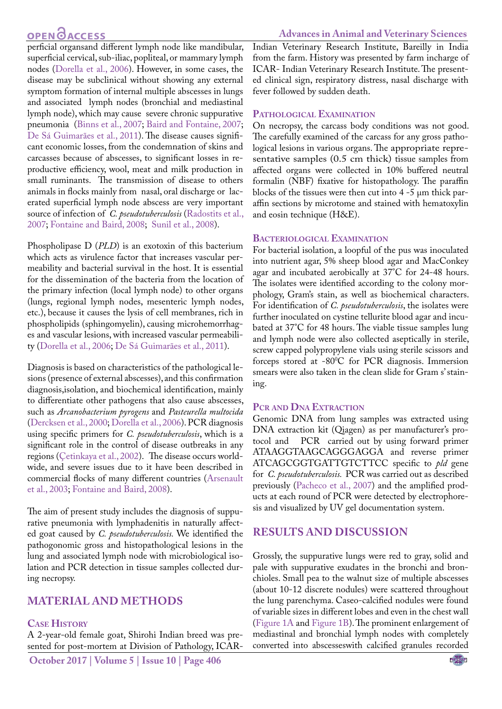## **OPEN**<sub>d</sub>

#### **Advances in Animal and Veterinary Sciences**

perficial organsand different lymph node like mandibular, superficial cervical, sub-iliac, popliteal, or mammary lymph nodes ([Dorella et al., 2006\)](#page-4-1). However, in some cases, the disease may be subclinical without showing any external symptom formation of internal multiple abscesses in lungs and associated lymph nodes (bronchial and mediastinal lymph node), which may cause severe chronic suppurative pneumonia [\(Binns et al., 2007](#page-3-2); [Baird and Fontaine, 2007;](#page-3-3) De Sá Guimarães et al., 2011). The disease causes significant economic losses, from the condemnation of skins and carcasses because of abscesses, to significant losses in reproductive efficiency, wool, meat and milk production in small ruminants. The transmission of disease to others animals in flocks mainly from nasal, oral discharge or lacerated superficial lymph node abscess are very important source of infection of *C. pseudotuberculosis* ([Radostits et al.,](#page-4-3) [2007](#page-4-3); Fontaine and Baird, 2008; [Sunil et al., 2008](#page-4-4)).

Phospholipase D (*PLD*) is an exotoxin of this bacterium which acts as virulence factor that increases vascular permeability and bacterial survival in the host. It is essential for the dissemination of the bacteria from the location of the primary infection (local lymph node) to other organs (lungs, regional lymph nodes, mesenteric lymph nodes, etc.), because it causes the lysis of cell membranes, rich in phospholipids (sphingomyelin), causing microhemorrhages and vascular lesions, with increased vascular permeability [\(Dorella et al., 2006](#page-4-1); De Sá Guimarães et al., 2011).

Diagnosis is based on characteristics of the pathological lesions (presence of external abscesses), and this confirmation diagnosis,isolation, and biochemical identification, mainly to differentiate other pathogens that also cause abscesses, such as *Arcanobacterium pyrogens* and *Pasteurella multocida* [\(Dercksen et al., 2000](#page-4-5); [Dorella et al., 2006\)](#page-4-1). PCR diagnosis using specific primers for *C. pseudotuberculosis*, which is a significant role in the control of disease outbreaks in any regions [\(Çetinkaya et al., 2002](#page-3-6)). The disease occurs worldwide, and severe issues due to it have been described in commercial flocks of many different countries (Arsenault et al., 2003; Fontaine and Baird, 2008).

The aim of present study includes the diagnosis of suppurative pneumonia with lymphadenitis in naturally affected goat caused by *C. pseudotuberculosis.* We identified the pathogonomic gross and histopathological lesions in the lung and associated lymph node with microbiological isolation and PCR detection in tissue samples collected during necropsy.

### **MATERIAL AND METHODS**

#### **Case History**

A 2-year-old female goat, Shirohi Indian breed was presented for post-mortem at Division of Pathology, ICAR- Indian Veterinary Research Institute, Bareilly in India from the farm. History was presented by farm incharge of ICAR- Indian Veterinary Research Institute. The presented clinical sign, respiratory distress, nasal discharge with fever followed by sudden death.

#### **Pathological Examination**

On necropsy, the carcass body conditions was not good. The carefully examined of the carcass for any gross pathological lesions in various organs. The appropriate representative samples (0.5 cm thick) tissue samples from affected organs were collected in 10% buffered neutral formalin (NBF) fixative for histopathology. The paraffin blocks of the tissues were then cut into 4 -5 μm thick paraffin sections by microtome and stained with hematoxylin and eosin technique (H&E).

#### **Bacteriological Examination**

For bacterial isolation, a loopful of the pus was inoculated into nutrient agar, 5% sheep blood agar and MacConkey agar and incubated aerobically at 37°C for 24-48 hours. The isolates were identified according to the colony morphology, Gram's stain, as well as biochemical characters. For identification of *C. pseudotuberculosis*, the isolates were further inoculated on cystine tellurite blood agar and incubated at 37°C for 48 hours. The viable tissue samples lung and lymph node were also collected aseptically in sterile, screw capped polypropylene vials using sterile scissors and forceps stored at -80°C for PCR diagnosis. Immersion smears were also taken in the clean slide for Gram s' staining.

#### **Pcr and Dna Extraction**

Genomic DNA from lung samples was extracted using DNA extraction kit (Qiagen) as per manufacturer's protocol and PCR carried out by using forward primer ATAAGGTAAGCAGGGAGGA and reverse primer ATCAGCGGTGATTGTCTTCC specific to *pld* gene for *C. pseudotuberculosis.* PCR was carried out as described previously [\(Pacheco et al., 2007\)](#page-4-6) and the amplified products at each round of PCR were detected by electrophoresis and visualized by UV gel documentation system.

### **Results and Discussion**

Grossly, the suppurative lungs were red to gray, solid and pale with suppurative exudates in the bronchi and bronchioles. Small pea to the walnut size of multiple abscesses (about 10-12 discrete nodules) were scattered throughout the lung parenchyma. Caseo-calcified nodules were found of variable sizes in different lobes and even in the chest wall [\(Figure 1A](#page-2-0) and [Figure 1B](#page-2-0)). The prominent enlargement of mediastinal and bronchial lymph nodes with completely converted into abscesseswith calcified granules recorded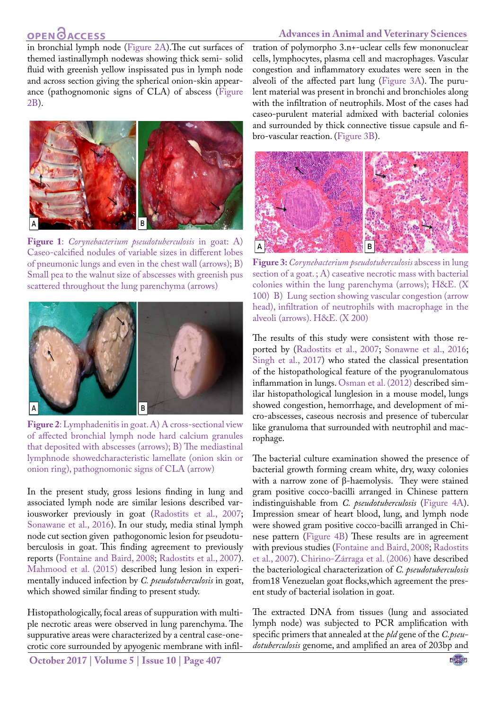# **OPEN GACCESS**

#### **Advances in Animal and Veterinary Sciences**

in bronchial lymph node ([Figure 2A](#page-2-1)).The cut surfaces of themed iastinallymph nodewas showing thick semi- solid fluid with greenish yellow inspissated pus in lymph node and across section giving the spherical onion-skin appearance (pathognomonic signs of CLA) of abscess [\(Figure](#page-2-1) [2B](#page-2-1)).



<span id="page-2-0"></span>**Figure 1**: *Corynebacterium pseudotuberculosis* in goat: A) Caseo-calcified nodules of variable sizes in different lobes of pneumonic lungs and even in the chest wall (arrows); B) Small pea to the walnut size of abscesses with greenish pus scattered throughout the lung parenchyma (arrows)



**Figure 2**: Lymphadenitis in goat. A) A cross-sectional view of affected bronchial lymph node hard calcium granules that deposited with abscesses (arrows); B) The mediastinal lymphnode showedcharacteristic lamellate (onion skin or onion ring), pathognomonic signs of CLA (arrow)

<span id="page-2-1"></span>In the present study, gross lesions finding in lung and associated lymph node are similar lesions described variousworker previously in goat [\(Radostits et al., 2007;](#page-4-3) [Sonawane et al., 2016](#page-4-7)). In our study, media stinal lymph node cut section given pathogonomic lesion for pseudotuberculosis in goat. This finding agreement to previously reports (Fontaine and Baird, 2008; [Radostits et al., 2007\)](#page-4-3). [Mahmood et al. \(2015\)](#page-4-8) described lung lesion in experimentally induced infection by *C. pseudotuberculosis* in goat, which showed similar finding to present study.

Histopathologically, focal areas of suppuration with multiple necrotic areas were observed in lung parenchyma. The suppurative areas were characterized by a central case-onecrotic core surrounded by apyogenic membrane with infil-

**October 2017 | Volume 5 | Issue 10 | Page 407**

tration of polymorpho 3.n+-uclear cells few mononuclear cells, lymphocytes, plasma cell and macrophages. Vascular congestion and inflammatory exudates were seen in the alveoli of the affected part lung ([Figure 3A\)](#page-2-2). The purulent material was present in bronchi and bronchioles along with the infiltration of neutrophils. Most of the cases had caseo-purulent material admixed with bacterial colonies and surrounded by thick connective tissue capsule and fibro-vascular reaction. ([Figure 3B](#page-2-2)).



<span id="page-2-2"></span>**Figure 3:** *Corynebacterium pseudotuberculosis* abscess in lung section of a goat.; A) caseative necrotic mass with bacterial colonies within the lung parenchyma (arrows); H&E. (X 100) B) Lung section showing vascular congestion (arrow head), infiltration of neutrophils with macrophage in the alveoli (arrows). H&E. (X 200)

The results of this study were consistent with those reported by ([Radostits et al., 2007](#page-4-3); [Sonawne et al., 2016](#page-4-7); [Singh et al., 2017](#page-4-9)) who stated the classical presentation of the histopathological feature of the pyogranulomatous inflammation in lungs. [Osman et al. \(2012\)](#page-4-10) described similar histopathological lunglesion in a mouse model, lungs showed congestion, hemorrhage, and development of micro-abscesses, caseous necrosis and presence of tubercular like granuloma that surrounded with neutrophil and macrophage.

The bacterial culture examination showed the presence of bacterial growth forming cream white, dry, waxy colonies with a narrow zone of β-haemolysis. They were stained gram positive cocco-bacilli arranged in Chinese pattern indistinguishable from *C. pseudotuberculosis* (Figure 4A). Impression smear of heart blood, lung, and lymph node were showed gram positive cocco-bacilli arranged in Chinese pattern (Figure 4B) These results are in agreement with previous studies (Fontaine and Baird, 2008; [Radostits](#page-4-3)  [et al., 2007](#page-4-3)). Chirino-Zárraga et al. (2006) have described the bacteriological characterization of *C. pseudotuberculosis* from18 Venezuelan goat flocks,which agreement the present study of bacterial isolation in goat.

The extracted DNA from tissues (lung and associated lymph node) was subjected to PCR amplification with specific primers that annealed at the *pld* gene of the *C.pseudotuberculosis* genome, and amplified an area of 203bp and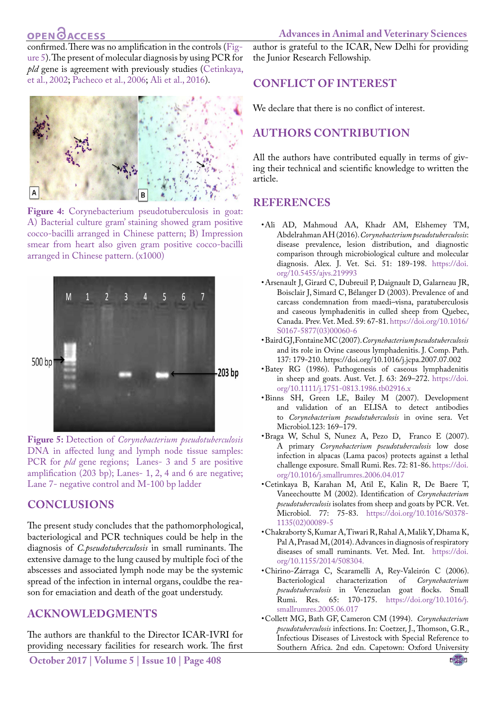## **OPEN**OACCESS

confirmed. There was no amplification in the controls ([Fig](#page-3-7)[ure 5\)](#page-3-7). The present of molecular diagnosis by using PCR for *pld* gene is agreement with previously studies [\(Cetinkaya,](#page-3-6) [et al., 2002;](#page-3-6) [Pacheco et al., 2006;](#page-4-6) [Ali et al., 2016](#page-3-1)).



**Figure 4:** Corynebacterium pseudotuberculosis in goat: A) Bacterial culture gram' staining showed gram positive cocco-bacilli arranged in Chinese pattern; B) Impression smear from heart also given gram positive cocco-bacilli arranged in Chinese pattern. (x1000)



<span id="page-3-7"></span>**Figure 5:** Detection of *Corynebacterium pseudotuberculosis* DNA in affected lung and lymph node tissue samples: PCR for *pld* gene regions; Lanes- 3 and 5 are positive amplification (203 bp); Lanes- 1, 2, 4 and 6 are negative; Lane 7- negative control and M-100 bp ladder

### **Conclusions**

The present study concludes that the pathomorphological, bacteriological and PCR techniques could be help in the diagnosis of *C.pseudotuberculosis* in small ruminants. The extensive damage to the lung caused by multiple foci of the abscesses and associated lymph node may be the systemic spread of the infection in internal organs, couldbe the reason for emaciation and death of the goat understudy.

## **Acknowledgments**

The authors are thankful to the Director ICAR-IVRI for providing necessary facilities for research work. The first

**October 2017 | Volume 5 | Issue 10 | Page 408**

author is grateful to the ICAR, New Delhi for providing the Junior Research Fellowship.

### **Conflict of interest**

We declare that there is no conflict of interest.

## **Authors Contribution**

All the authors have contributed equally in terms of giving their technical and scientific knowledge to written the article.

### **REFERENCES**

- <span id="page-3-1"></span>• Ali AD, Mahmoud AA, Khadr AM, Elshemey TM, Abdelrahman AH (2016). *Corynebacterium pseudotuberculosis*: disease prevalence, lesion distribution, and diagnostic comparison through microbiological culture and molecular diagnosis. Alex. J. Vet. Sci. 51: 189-198. [https://doi.](https://doi.org/10.5455/ajvs.219993 ) [org/10.5455/ajvs.219993](https://doi.org/10.5455/ajvs.219993 )
- • Arsenault J, Girard C, Dubreuil P, Daignault D, Galarneau JR, Boisclair J, Simard C, Bélanger D (2003). Prevalence of and carcass condemnation from maedi–visna, paratuberculosis and caseous lymphadenitis in culled sheep from Quebec, Canada. Prev. Vet. Med. 59: 67-81[. https://doi.org/10.1016/]( https://doi.org/10.1016/S0167-5877(03)00060-6  ) [S0167-5877\(03\)00060-6]( https://doi.org/10.1016/S0167-5877(03)00060-6  )
- <span id="page-3-3"></span>• Baird GJ, Fontaine MC (2007). *Corynebacterium pseudotuberculosis* and its role in Ovine caseous lymphadenitis. J. Comp. Path. 137: 179-210. https://doi.org/10.1016/j.jcpa.2007.07.002
- <span id="page-3-0"></span>• Batey RG (1986). Pathogenesis of caseous lymphadenitis in sheep and goats*.* Aust. Vet. J. 63: 269–272[. https://doi.]( https://doi.org/10.1111/j.1751-0813.1986.tb02916.x ) [org/10.1111/j.1751-0813.1986.tb02916.x]( https://doi.org/10.1111/j.1751-0813.1986.tb02916.x )
- <span id="page-3-2"></span>• Binns SH, Green LE, Bailey M (2007). Development and validation of an ELISA to detect antibodies to *Corynebacterium pseudotuberculosis* in ovine sera. Vet Microbiol.123: 169–179.
- • Braga W, Schul S, Nunez A, Pezo D, Franco E (2007). A primary *Corynebacterium pseudotuberculosis* low dose infection in alpacas (Lama pacos) protects against a lethal challenge exposure. Small Rumi. Res. 72: 81-86. [https://doi.](https://doi.org/10.1016/j.smallrumres.2006.04.017 ) [org/10.1016/j.smallrumres.2006.04.017](https://doi.org/10.1016/j.smallrumres.2006.04.017 )
- <span id="page-3-6"></span>• Cetinkaya B, Karahan M, Atil E, Kalin R, De Baere T, Vaneechoutte M (2002). Identification of *Corynebacterium pseudotuberculosis* isolates from sheep and goats by PCR. Vet. Microbiol. 77: 75-83. [https://doi.org/10.1016/S0378-](https://doi.org/10.1016/S0378-1135(02)00089-5 ) [1135\(02\)00089-5](https://doi.org/10.1016/S0378-1135(02)00089-5 )
- <span id="page-3-4"></span>• Chakraborty S, Kumar A, Tiwari R, Rahal A, Malik Y, Dhama K, Pal A, Prasad M, (2014). Advances in diagnosis of respiratory diseases of small ruminants. Vet. Med. Int. [https://doi.](https://doi.org/10.1155/2014/508304. ) [org/10.1155/2014/508304.](https://doi.org/10.1155/2014/508304. )
- • Chirino-Zárraga C, Scaramelli A, Rey-Valeirón C (2006). Bacteriological characterization of *Corynebacterium pseudotuberculosis* in Venezuelan goat flocks. Small Rumi. Res. 65: 170-175. [https://doi.org/10.1016/j.](https://doi.org/10.1016/j.smallrumres.2005.06.017 ) [smallrumres.2005.06.017](https://doi.org/10.1016/j.smallrumres.2005.06.017 )

<span id="page-3-5"></span>• Collett MG, Bath GF, Cameron CM (1994). *Corynebacterium pseudotuberculosis* infections. In: Coetzer, J., Thomson, G.R., Infectious Diseases of Livestock with Special Reference to Southern Africa. 2nd edn. Capetown: Oxford University